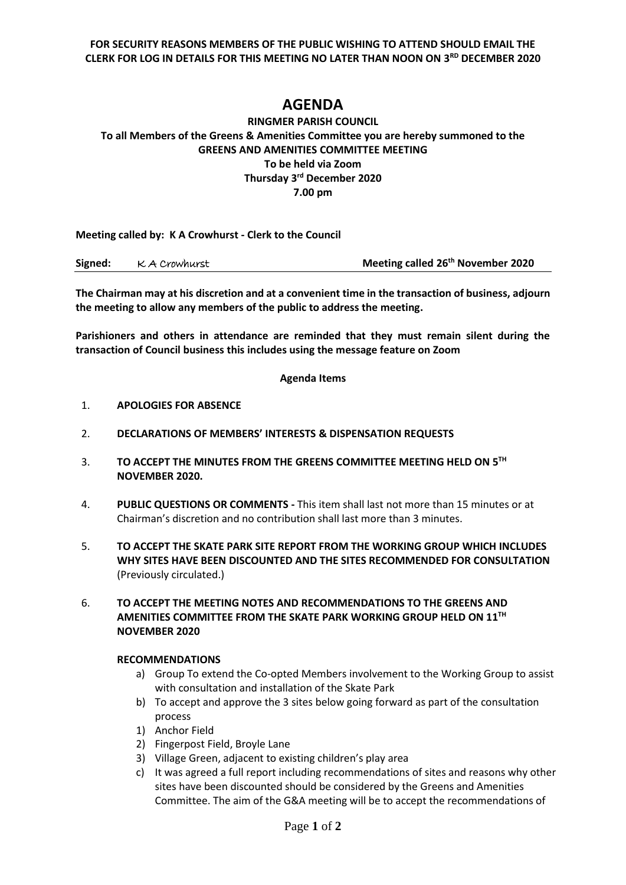**FOR SECURITY REASONS MEMBERS OF THE PUBLIC WISHING TO ATTEND SHOULD EMAIL THE CLERK FOR LOG IN DETAILS FOR THIS MEETING NO LATER THAN NOON ON 3 RD DECEMBER 2020**

## **AGENDA**

## **RINGMER PARISH COUNCIL To all Members of the Greens & Amenities Committee you are hereby summoned to the GREENS AND AMENITIES COMMITTEE MEETING To be held via Zoom Thursday 3 rd December 2020 7.00 pm**

**Meeting called by: K A Crowhurst - Clerk to the Council** 

| Signed: | K A Crowhurst | Meeting called 26 <sup>th</sup> November 2020 |
|---------|---------------|-----------------------------------------------|
|---------|---------------|-----------------------------------------------|

**The Chairman may at his discretion and at a convenient time in the transaction of business, adjourn the meeting to allow any members of the public to address the meeting.**

**Parishioners and others in attendance are reminded that they must remain silent during the transaction of Council business this includes using the message feature on Zoom**

## **Agenda Items**

- 1. **APOLOGIES FOR ABSENCE**
- 2. **DECLARATIONS OF MEMBERS' INTERESTS & DISPENSATION REQUESTS**
- 3. **TO ACCEPT THE MINUTES FROM THE GREENS COMMITTEE MEETING HELD ON 5 TH NOVEMBER 2020.**
- 4. **PUBLIC QUESTIONS OR COMMENTS -** This item shall last not more than 15 minutes or at Chairman's discretion and no contribution shall last more than 3 minutes.
- 5. **TO ACCEPT THE SKATE PARK SITE REPORT FROM THE WORKING GROUP WHICH INCLUDES WHY SITES HAVE BEEN DISCOUNTED AND THE SITES RECOMMENDED FOR CONSULTATION**  (Previously circulated.)
- 6. **TO ACCEPT THE MEETING NOTES AND RECOMMENDATIONS TO THE GREENS AND AMENITIES COMMITTEE FROM THE SKATE PARK WORKING GROUP HELD ON 11 TH NOVEMBER 2020**

## **RECOMMENDATIONS**

- a) Group To extend the Co-opted Members involvement to the Working Group to assist with consultation and installation of the Skate Park
- b) To accept and approve the 3 sites below going forward as part of the consultation process
- 1) Anchor Field
- 2) Fingerpost Field, Broyle Lane
- 3) Village Green, adjacent to existing children's play area
- c) It was agreed a full report including recommendations of sites and reasons why other sites have been discounted should be considered by the Greens and Amenities Committee. The aim of the G&A meeting will be to accept the recommendations of